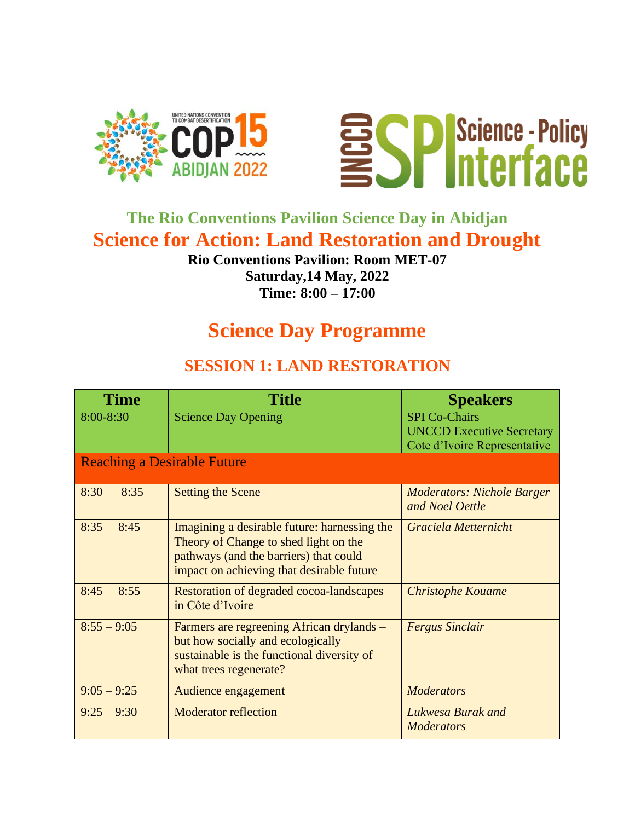



# **The Rio Conventions Pavilion Science Day in Abidjan Science for Action: Land Restoration and Drought**

#### **Rio Conventions Pavilion: Room MET-07 Saturday,14 May, 2022 Time: 8:00 – 17:00**

# **Science Day Programme**

#### **SESSION 1: LAND RESTORATION**

| <b>Time</b>                        | Title                                                                                                                                                                        | <b>Speakers</b>                                                                          |  |
|------------------------------------|------------------------------------------------------------------------------------------------------------------------------------------------------------------------------|------------------------------------------------------------------------------------------|--|
| 8:00-8:30                          | <b>Science Day Opening</b>                                                                                                                                                   | <b>SPI Co-Chairs</b><br><b>UNCCD Executive Secretary</b><br>Cote d'Ivoire Representative |  |
| <b>Reaching a Desirable Future</b> |                                                                                                                                                                              |                                                                                          |  |
| $8:30 - 8:35$                      | <b>Setting the Scene</b>                                                                                                                                                     | <b>Moderators: Nichole Barger</b><br>and Noel Oettle                                     |  |
| $8:35 - 8:45$                      | Imagining a desirable future: harnessing the<br>Theory of Change to shed light on the<br>pathways (and the barriers) that could<br>impact on achieving that desirable future | Graciela Metternicht                                                                     |  |
| $8:45 - 8:55$                      | Restoration of degraded cocoa-landscapes<br>in Côte d'Ivoire                                                                                                                 | <b>Christophe Kouame</b>                                                                 |  |
| $8:55 - 9:05$                      | Farmers are regreening African drylands –<br>but how socially and ecologically<br>sustainable is the functional diversity of<br>what trees regenerate?                       | <b>Fergus Sinclair</b>                                                                   |  |
| $9:05 - 9:25$                      | Audience engagement                                                                                                                                                          | <b>Moderators</b>                                                                        |  |
| $9:25 - 9:30$                      | <b>Moderator reflection</b>                                                                                                                                                  | Lukwesa Burak and<br><b>Moderators</b>                                                   |  |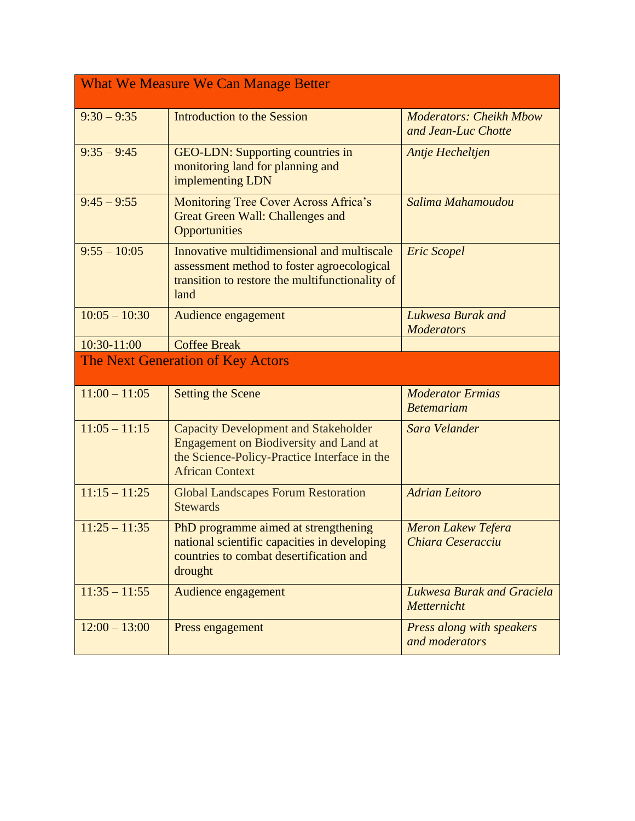| <b>What We Measure We Can Manage Better</b> |                                                                                                                                                                        |                                                       |  |
|---------------------------------------------|------------------------------------------------------------------------------------------------------------------------------------------------------------------------|-------------------------------------------------------|--|
| $9:30 - 9:35$                               | <b>Introduction to the Session</b>                                                                                                                                     | <b>Moderators: Cheikh Mbow</b><br>and Jean-Luc Chotte |  |
| $9:35 - 9:45$                               | <b>GEO-LDN: Supporting countries in</b><br>monitoring land for planning and<br>implementing LDN                                                                        | Antje Hecheltjen                                      |  |
| $9:45 - 9:55$                               | Monitoring Tree Cover Across Africa's<br><b>Great Green Wall: Challenges and</b><br><b>Opportunities</b>                                                               | Salima Mahamoudou                                     |  |
| $9:55 - 10:05$                              | Innovative multidimensional and multiscale<br>assessment method to foster agroecological<br>transition to restore the multifunctionality of<br>land                    | <b>Eric Scopel</b>                                    |  |
| $10:05 - 10:30$                             | Audience engagement                                                                                                                                                    | Lukwesa Burak and<br><b>Moderators</b>                |  |
| 10:30-11:00                                 | <b>Coffee Break</b>                                                                                                                                                    |                                                       |  |
|                                             | The Next Generation of Key Actors                                                                                                                                      |                                                       |  |
| $11:00 - 11:05$                             | <b>Setting the Scene</b>                                                                                                                                               | <b>Moderator Ermias</b><br><b>Betemariam</b>          |  |
| $11:05 - 11:15$                             | <b>Capacity Development and Stakeholder</b><br><b>Engagement on Biodiversity and Land at</b><br>the Science-Policy-Practice Interface in the<br><b>African Context</b> | Sara Velander                                         |  |
| $11:15 - 11:25$                             | <b>Global Landscapes Forum Restoration</b><br><b>Stewards</b>                                                                                                          | <b>Adrian Leitoro</b>                                 |  |
| $11:25 - 11:35$                             | PhD programme aimed at strengthening<br>national scientific capacities in developing<br>countries to combat desertification and<br>drought                             | <b>Meron Lakew Tefera</b><br>Chiara Ceseracciu        |  |
| $11:35 - 11:55$                             | Audience engagement                                                                                                                                                    | Lukwesa Burak and Graciela<br>Metternicht             |  |
| $12:00 - 13:00$                             | Press engagement                                                                                                                                                       | Press along with speakers<br>and moderators           |  |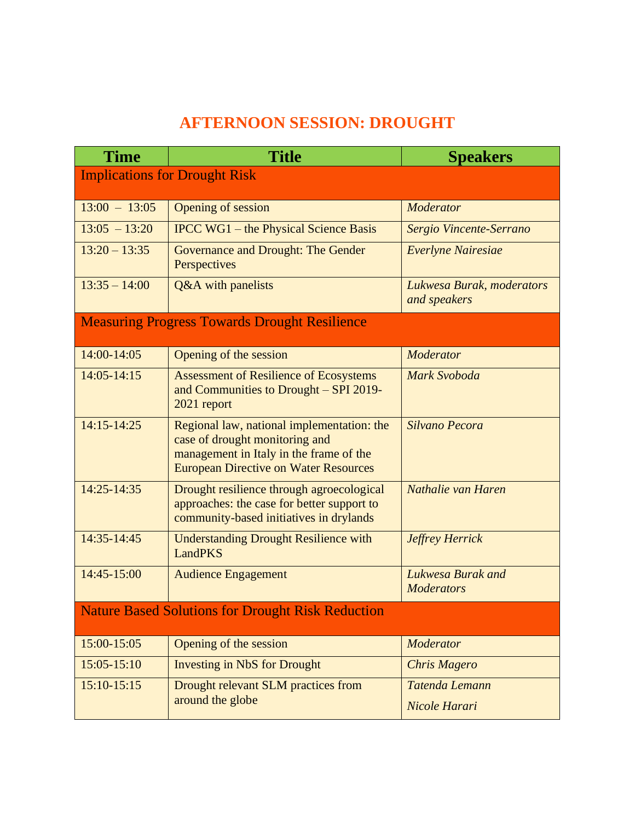### **AFTERNOON SESSION: DROUGHT**

| <b>Time</b>                                              | <b>Title</b>                                                                                                                                                            | <b>Speakers</b>                           |  |  |
|----------------------------------------------------------|-------------------------------------------------------------------------------------------------------------------------------------------------------------------------|-------------------------------------------|--|--|
| <b>Implications for Drought Risk</b>                     |                                                                                                                                                                         |                                           |  |  |
| $13:00 - 13:05$                                          | <b>Opening of session</b>                                                                                                                                               | Moderator                                 |  |  |
| $13:05 - 13:20$                                          | <b>IPCC WG1</b> – the Physical Science Basis                                                                                                                            | Sergio Vincente-Serrano                   |  |  |
| $13:20 - 13:35$                                          |                                                                                                                                                                         |                                           |  |  |
|                                                          | Governance and Drought: The Gender<br>Perspectives                                                                                                                      | Everlyne Nairesiae                        |  |  |
| $13:35 - 14:00$                                          | Q&A with panelists                                                                                                                                                      | Lukwesa Burak, moderators<br>and speakers |  |  |
|                                                          | <b>Measuring Progress Towards Drought Resilience</b>                                                                                                                    |                                           |  |  |
| 14:00-14:05                                              | Opening of the session                                                                                                                                                  | <b>Moderator</b>                          |  |  |
| $14:05 - 14:15$                                          | <b>Assessment of Resilience of Ecosystems</b><br>and Communities to Drought – SPI 2019-<br>2021 report                                                                  | <b>Mark Svoboda</b>                       |  |  |
| $14:15 - 14:25$                                          | Regional law, national implementation: the<br>case of drought monitoring and<br>management in Italy in the frame of the<br><b>European Directive on Water Resources</b> | Silvano Pecora                            |  |  |
| 14:25-14:35                                              | Drought resilience through agroecological<br>approaches: the case for better support to<br>community-based initiatives in drylands                                      | Nathalie van Haren                        |  |  |
| 14:35-14:45                                              | <b>Understanding Drought Resilience with</b><br><b>LandPKS</b>                                                                                                          | <b>Jeffrey Herrick</b>                    |  |  |
| 14:45-15:00                                              | <b>Audience Engagement</b>                                                                                                                                              | Lukwesa Burak and<br><b>Moderators</b>    |  |  |
| <b>Nature Based Solutions for Drought Risk Reduction</b> |                                                                                                                                                                         |                                           |  |  |
| 15:00-15:05                                              | Opening of the session                                                                                                                                                  | Moderator                                 |  |  |
| $15:05 - 15:10$                                          | <b>Investing in NbS for Drought</b>                                                                                                                                     | <b>Chris Magero</b>                       |  |  |
| $15:10-15:15$                                            | Drought relevant SLM practices from<br>around the globe                                                                                                                 | Tatenda Lemann<br>Nicole Harari           |  |  |